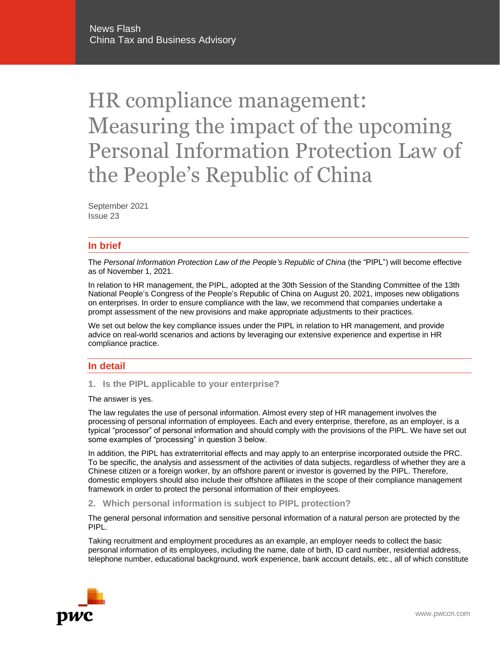# HR compliance management: Measuring the impact of the upcoming Personal Information Protection Law of the People's Republic of China

September 2021 Issue 23

## **In brief**

The *Personal Information Protection Law of the People's Republic of China* (the "PIPL") will become effective as of November 1, 2021.

In relation to HR management, the PIPL, adopted at the 30th Session of the Standing Committee of the 13th National People's Congress of the People's Republic of China on August 20, 2021, imposes new obligations on enterprises. In order to ensure compliance with the law, we recommend that companies undertake a prompt assessment of the new provisions and make appropriate adjustments to their practices.

We set out below the key compliance issues under the PIPL in relation to HR management, and provide advice on real-world scenarios and actions by leveraging our extensive experience and expertise in HR compliance practice.

## **In detail**

**1. Is the PIPL applicable to your enterprise?**

The answer is yes.

The law regulates the use of personal information. Almost every step of HR management involves the processing of personal information of employees. Each and every enterprise, therefore, as an employer, is a typical "processor" of personal information and should comply with the provisions of the PIPL. We have set out some examples of "processing" in question 3 below.

In addition, the PIPL has extraterritorial effects and may apply to an enterprise incorporated outside the PRC. To be specific, the analysis and assessment of the activities of data subjects, regardless of whether they are a Chinese citizen or a foreign worker, by an offshore parent or investor is governed by the PIPL. Therefore, domestic employers should also include their offshore affiliates in the scope of their compliance management framework in order to protect the personal information of their employees.

**2. Which personal information is subject to PIPL protection?** 

The general personal information and sensitive personal information of a natural person are protected by the PIPL.

Taking recruitment and employment procedures as an example, an employer needs to collect the basic personal information of its employees, including the name, date of birth, ID card number, residential address, telephone number, educational background, work experience, bank account details, etc., all of which constitute

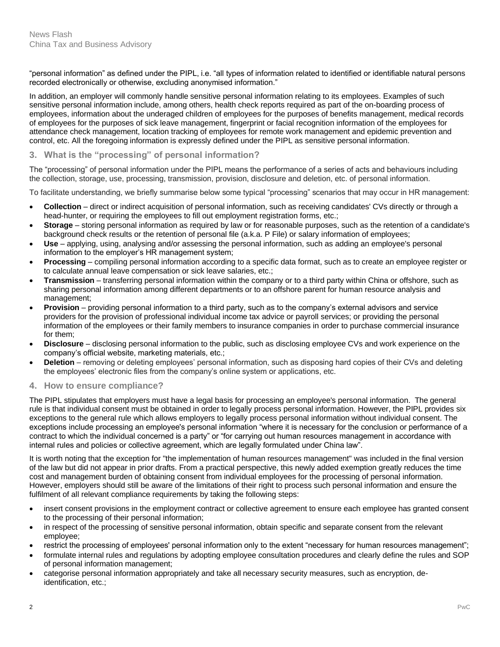"personal information" as defined under the PIPL, i.e. "all types of information related to identified or identifiable natural persons recorded electronically or otherwise, excluding anonymised information."

In addition, an employer will commonly handle sensitive personal information relating to its employees. Examples of such sensitive personal information include, among others, health check reports required as part of the on-boarding process of employees, information about the underaged children of employees for the purposes of benefits management, medical records of employees for the purposes of sick leave management, fingerprint or facial recognition information of the employees for attendance check management, location tracking of employees for remote work management and epidemic prevention and control, etc. All the foregoing information is expressly defined under the PIPL as sensitive personal information.

# **3. What is the "processing" of personal information?**

The "processing" of personal information under the PIPL means the performance of a series of acts and behaviours including the collection, storage, use, processing, transmission, provision, disclosure and deletion, etc. of personal information.

To facilitate understanding, we briefly summarise below some typical "processing" scenarios that may occur in HR management:

- **Collection** direct or indirect acquisition of personal information, such as receiving candidates' CVs directly or through a head-hunter, or requiring the employees to fill out employment registration forms, etc.;
- **Storage** storing personal information as required by law or for reasonable purposes, such as the retention of a candidate's background check results or the retention of personal file (a.k.a. P File) or salary information of employees;
- **Use** applying, using, analysing and/or assessing the personal information, such as adding an employee's personal information to the employer's HR management system;
- **Processing** compiling personal information according to a specific data format, such as to create an employee register or to calculate annual leave compensation or sick leave salaries, etc.;
- **Transmission** transferring personal information within the company or to a third party within China or offshore, such as sharing personal information among different departments or to an offshore parent for human resource analysis and management;
- **Provision** providing personal information to a third party, such as to the company's external advisors and service providers for the provision of professional individual income tax advice or payroll services; or providing the personal information of the employees or their family members to insurance companies in order to purchase commercial insurance for them;
- **Disclosure** disclosing personal information to the public, such as disclosing employee CVs and work experience on the company's official website, marketing materials, etc.;
- **Deletion** removing or deleting employees' personal information, such as disposing hard copies of their CVs and deleting the employees' electronic files from the company's online system or applications, etc.

# **4. How to ensure compliance?**

The PIPL stipulates that employers must have a legal basis for processing an employee's personal information. The general rule is that individual consent must be obtained in order to legally process personal information. However, the PIPL provides six exceptions to the general rule which allows employers to legally process personal information without individual consent. The exceptions include processing an employee's personal information "where it is necessary for the conclusion or performance of a contract to which the individual concerned is a party" or "for carrying out human resources management in accordance with internal rules and policies or collective agreement, which are legally formulated under China law".

It is worth noting that the exception for "the implementation of human resources management" was included in the final version of the law but did not appear in prior drafts. From a practical perspective, this newly added exemption greatly reduces the time cost and management burden of obtaining consent from individual employees for the processing of personal information. However, employers should still be aware of the limitations of their right to process such personal information and ensure the fulfilment of all relevant compliance requirements by taking the following steps:

- insert consent provisions in the employment contract or collective agreement to ensure each employee has granted consent to the processing of their personal information;
- in respect of the processing of sensitive personal information, obtain specific and separate consent from the relevant employee;
- restrict the processing of employees' personal information only to the extent "necessary for human resources management";
- formulate internal rules and regulations by adopting employee consultation procedures and clearly define the rules and SOP of personal information management;
- categorise personal information appropriately and take all necessary security measures, such as encryption, deidentification, etc.;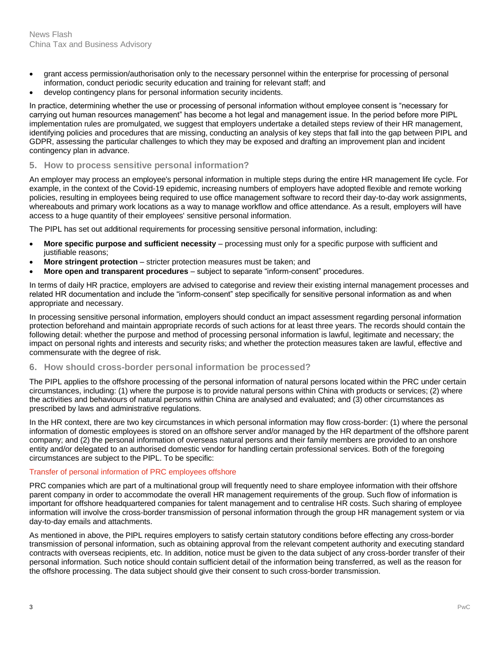- grant access permission/authorisation only to the necessary personnel within the enterprise for processing of personal information, conduct periodic security education and training for relevant staff; and
- develop contingency plans for personal information security incidents.

In practice, determining whether the use or processing of personal information without employee consent is "necessary for carrying out human resources management" has become a hot legal and management issue. In the period before more PIPL implementation rules are promulgated, we suggest that employers undertake a detailed steps review of their HR management, identifying policies and procedures that are missing, conducting an analysis of key steps that fall into the gap between PIPL and GDPR, assessing the particular challenges to which they may be exposed and drafting an improvement plan and incident contingency plan in advance.

## **5. How to process sensitive personal information?**

An employer may process an employee's personal information in multiple steps during the entire HR management life cycle. For example, in the context of the Covid-19 epidemic, increasing numbers of employers have adopted flexible and remote working policies, resulting in employees being required to use office management software to record their day-to-day work assignments, whereabouts and primary work locations as a way to manage workflow and office attendance. As a result, employers will have access to a huge quantity of their employees' sensitive personal information.

The PIPL has set out additional requirements for processing sensitive personal information, including:

- **More specific purpose and sufficient necessity**  processing must only for a specific purpose with sufficient and justifiable reasons;
- **More stringent protection** stricter protection measures must be taken; and
- **More open and transparent procedures** subject to separate "inform-consent" procedures.

In terms of daily HR practice, employers are advised to categorise and review their existing internal management processes and related HR documentation and include the "inform-consent" step specifically for sensitive personal information as and when appropriate and necessary.

In processing sensitive personal information, employers should conduct an impact assessment regarding personal information protection beforehand and maintain appropriate records of such actions for at least three years. The records should contain the following detail: whether the purpose and method of processing personal information is lawful, legitimate and necessary; the impact on personal rights and interests and security risks; and whether the protection measures taken are lawful, effective and commensurate with the degree of risk.

# **6. How should cross-border personal information be processed?**

The PIPL applies to the offshore processing of the personal information of natural persons located within the PRC under certain circumstances, including: (1) where the purpose is to provide natural persons within China with products or services; (2) where the activities and behaviours of natural persons within China are analysed and evaluated; and (3) other circumstances as prescribed by laws and administrative regulations.

In the HR context, there are two key circumstances in which personal information may flow cross-border: (1) where the personal information of domestic employees is stored on an offshore server and/or managed by the HR department of the offshore parent company; and (2) the personal information of overseas natural persons and their family members are provided to an onshore entity and/or delegated to an authorised domestic vendor for handling certain professional services. Both of the foregoing circumstances are subject to the PIPL. To be specific:

## Transfer of personal information of PRC employees offshore

PRC companies which are part of a multinational group will frequently need to share employee information with their offshore parent company in order to accommodate the overall HR management requirements of the group. Such flow of information is important for offshore headquartered companies for talent management and to centralise HR costs. Such sharing of employee information will involve the cross-border transmission of personal information through the group HR management system or via day-to-day emails and attachments.

As mentioned in above, the PIPL requires employers to satisfy certain statutory conditions before effecting any cross-border transmission of personal information, such as obtaining approval from the relevant competent authority and executing standard contracts with overseas recipients, etc. In addition, notice must be given to the data subject of any cross-border transfer of their personal information. Such notice should contain sufficient detail of the information being transferred, as well as the reason for the offshore processing. The data subject should give their consent to such cross-border transmission.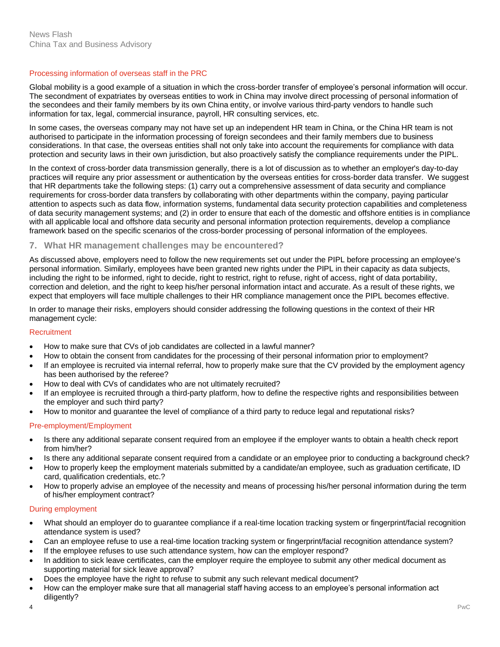#### Processing information of overseas staff in the PRC

Global mobility is a good example of a situation in which the cross-border transfer of employee's personal information will occur. The secondment of expatriates by overseas entities to work in China may involve direct processing of personal information of the secondees and their family members by its own China entity, or involve various third-party vendors to handle such information for tax, legal, commercial insurance, payroll, HR consulting services, etc.

In some cases, the overseas company may not have set up an independent HR team in China, or the China HR team is not authorised to participate in the information processing of foreign secondees and their family members due to business considerations. In that case, the overseas entities shall not only take into account the requirements for compliance with data protection and security laws in their own jurisdiction, but also proactively satisfy the compliance requirements under the PIPL.

In the context of cross-border data transmission generally, there is a lot of discussion as to whether an employer's day-to-day practices will require any prior assessment or authentication by the overseas entities for cross-border data transfer. We suggest that HR departments take the following steps: (1) carry out a comprehensive assessment of data security and compliance requirements for cross-border data transfers by collaborating with other departments within the company, paying particular attention to aspects such as data flow, information systems, fundamental data security protection capabilities and completeness of data security management systems; and (2) in order to ensure that each of the domestic and offshore entities is in compliance with all applicable local and offshore data security and personal information protection requirements, develop a compliance framework based on the specific scenarios of the cross-border processing of personal information of the employees.

## **7. What HR management challenges may be encountered?**

As discussed above, employers need to follow the new requirements set out under the PIPL before processing an employee's personal information. Similarly, employees have been granted new rights under the PIPL in their capacity as data subjects, including the right to be informed, right to decide, right to restrict, right to refuse, right of access, right of data portability, correction and deletion, and the right to keep his/her personal information intact and accurate. As a result of these rights, we expect that employers will face multiple challenges to their HR compliance management once the PIPL becomes effective.

In order to manage their risks, employers should consider addressing the following questions in the context of their HR management cycle:

#### **Recruitment**

- How to make sure that CVs of job candidates are collected in a lawful manner?
- How to obtain the consent from candidates for the processing of their personal information prior to employment?
- If an employee is recruited via internal referral, how to properly make sure that the CV provided by the employment agency has been authorised by the referee?
- How to deal with CVs of candidates who are not ultimately recruited?
- If an employee is recruited through a third-party platform, how to define the respective rights and responsibilities between the employer and such third party?
- How to monitor and guarantee the level of compliance of a third party to reduce legal and reputational risks?

## Pre-employment/Employment

- Is there any additional separate consent required from an employee if the employer wants to obtain a health check report from him/her?
- Is there any additional separate consent required from a candidate or an employee prior to conducting a background check?
- How to properly keep the employment materials submitted by a candidate/an employee, such as graduation certificate, ID card, qualification credentials, etc.?
- How to properly advise an employee of the necessity and means of processing his/her personal information during the term of his/her employment contract?

#### During employment

- What should an employer do to guarantee compliance if a real-time location tracking system or fingerprint/facial recognition attendance system is used?
- Can an employee refuse to use a real-time location tracking system or fingerprint/facial recognition attendance system?
- If the employee refuses to use such attendance system, how can the employer respond?
- In addition to sick leave certificates, can the employer require the employee to submit any other medical document as supporting material for sick leave approval?
- Does the employee have the right to refuse to submit any such relevant medical document?
- How can the employer make sure that all managerial staff having access to an employee's personal information act diligently?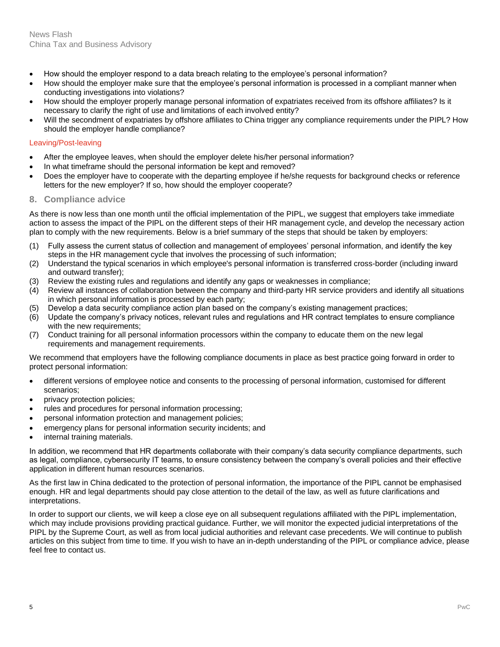- How should the employer respond to a data breach relating to the employee's personal information?
- How should the employer make sure that the employee's personal information is processed in a compliant manner when conducting investigations into violations?
- How should the employer properly manage personal information of expatriates received from its offshore affiliates? Is it necessary to clarify the right of use and limitations of each involved entity?
- Will the secondment of expatriates by offshore affiliates to China trigger any compliance requirements under the PIPL? How should the employer handle compliance?

## Leaving/Post-leaving

- After the employee leaves, when should the employer delete his/her personal information?
- In what timeframe should the personal information be kept and removed?
- Does the employer have to cooperate with the departing employee if he/she requests for background checks or reference letters for the new employer? If so, how should the employer cooperate?

## **8. Compliance advice**

As there is now less than one month until the official implementation of the PIPL, we suggest that employers take immediate action to assess the impact of the PIPL on the different steps of their HR management cycle, and develop the necessary action plan to comply with the new requirements. Below is a brief summary of the steps that should be taken by employers:

- (1) Fully assess the current status of collection and management of employees' personal information, and identify the key steps in the HR management cycle that involves the processing of such information;
- (2) Understand the typical scenarios in which employee's personal information is transferred cross-border (including inward and outward transfer);
- (3) Review the existing rules and regulations and identify any gaps or weaknesses in compliance;
- (4) Review all instances of collaboration between the company and third-party HR service providers and identify all situations in which personal information is processed by each party;
- (5) Develop a data security compliance action plan based on the company's existing management practices;
- (6) Update the company's privacy notices, relevant rules and regulations and HR contract templates to ensure compliance with the new requirements:
- (7) Conduct training for all personal information processors within the company to educate them on the new legal requirements and management requirements.

We recommend that employers have the following compliance documents in place as best practice going forward in order to protect personal information:

- different versions of employee notice and consents to the processing of personal information, customised for different scenarios;
- privacy protection policies;
- rules and procedures for personal information processing;
- personal information protection and management policies;
- emergency plans for personal information security incidents; and
- internal training materials.

In addition, we recommend that HR departments collaborate with their company's data security compliance departments, such as legal, compliance, cybersecurity IT teams, to ensure consistency between the company's overall policies and their effective application in different human resources scenarios.

As the first law in China dedicated to the protection of personal information, the importance of the PIPL cannot be emphasised enough. HR and legal departments should pay close attention to the detail of the law, as well as future clarifications and interpretations.

In order to support our clients, we will keep a close eye on all subsequent regulations affiliated with the PIPL implementation, which may include provisions providing practical guidance. Further, we will monitor the expected judicial interpretations of the PIPL by the Supreme Court, as well as from local judicial authorities and relevant case precedents. We will continue to publish articles on this subject from time to time. If you wish to have an in-depth understanding of the PIPL or compliance advice, please feel free to contact us.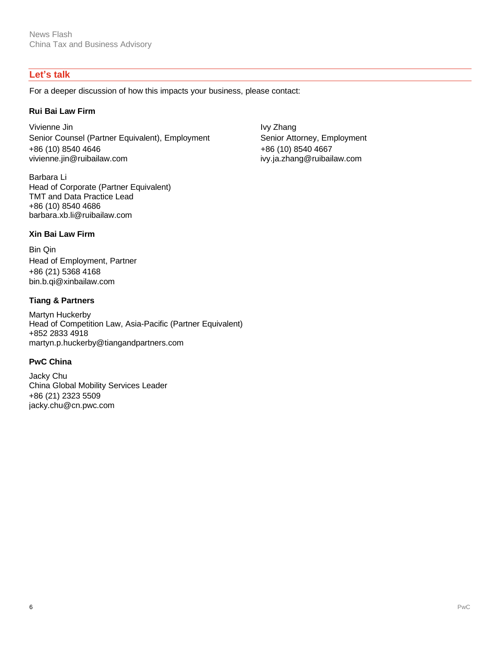# **Let's talk**

For a deeper discussion of how this impacts your business, please contact:

## **Rui Bai Law Firm**

Vivienne Jin **Ivy Zhang** Senior Counsel (Partner Equivalent), Employment Senior Attorney, Employment +86 (10) 8540 4646 vivienne.jin@ruibailaw.com

Barbara Li Head of Corporate (Partner Equivalent) TMT and Data Practice Lead +86 (10) 8540 4686 barbara.xb.li@ruibailaw.com

+86 (10) 8540 4667 ivy.ja.zhang@ruibailaw.com

# **Xin Bai Law Firm**

Bin Qin Head of Employment, Partner +86 (21) 5368 4168 bin.b.qi@xinbailaw.com

# **Tiang & Partners**

Martyn Huckerby Head of Competition Law, Asia-Pacific (Partner Equivalent) +852 2833 4918 martyn.p.huckerby@tiangandpartners.com

# **PwC China**

Jacky Chu China Global Mobility Services Leader +86 (21) 2323 5509 jacky.chu@cn.pwc.com